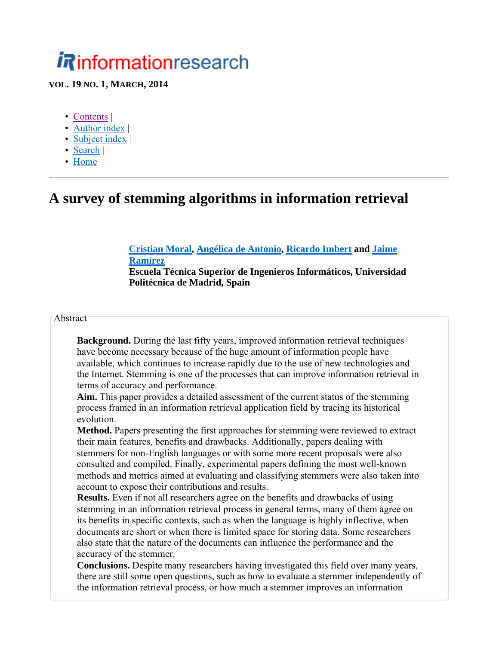# *i R*informationresearch

**VOL. 19 NO. 1, MARCH, 2014**

- Contents |
- Author index |
- Subject index |
- Search |
- Home

### **A survey of stemming algorithms in information retrieval**

#### **Cristian Moral, Angélica de Antonio, Ricardo Imbert and Jaime Ramírez Escuela Técnica Superior de Ingenieros Informáticos, Universidad Politécnica de Madrid, Spain**

**Abstract** 

**Background.** During the last fifty years, improved information retrieval techniques have become necessary because of the huge amount of information people have available, which continues to increase rapidly due to the use of new technologies and the Internet. Stemming is one of the processes that can improve information retrieval in terms of accuracy and performance.

**Aim.** This paper provides a detailed assessment of the current status of the stemming process framed in an information retrieval application field by tracing its historical evolution.

**Method.** Papers presenting the first approaches for stemming were reviewed to extract their main features, benefits and drawbacks. Additionally, papers dealing with stemmers for non-English languages or with some more recent proposals were also consulted and compiled. Finally, experimental papers defining the most well-known methods and metrics aimed at evaluating and classifying stemmers were also taken into account to expose their contributions and results.

**Results.** Even if not all researchers agree on the benefits and drawbacks of using stemming in an information retrieval process in general terms, many of them agree on its benefits in specific contexts, such as when the language is highly inflective, when documents are short or when there is limited space for storing data. Some researchers also state that the nature of the documents can influence the performance and the accuracy of the stemmer.

**Conclusions.** Despite many researchers having investigated this field over many years, there are still some open questions, such as how to evaluate a stemmer independently of the information retrieval process, or how much a stemmer improves an information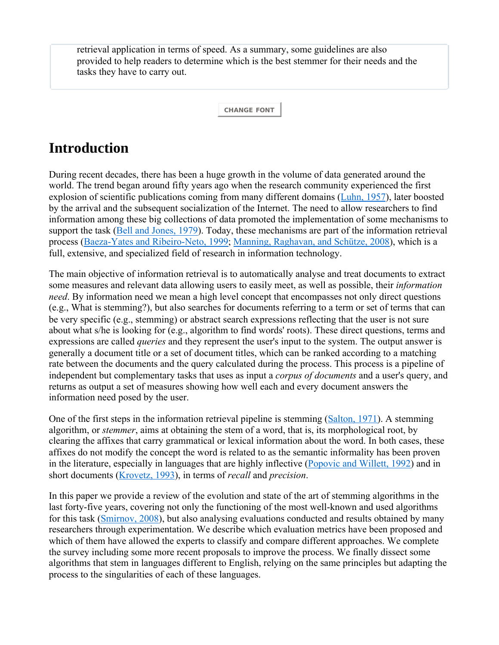retrieval application in terms of speed. As a summary, some guidelines are also provided to help readers to determine which is the best stemmer for their needs and the tasks they have to carry out.

**CHANGE FONT**

# **Introduction**

During recent decades, there has been a huge growth in the volume of data generated around the world. The trend began around fifty years ago when the research community experienced the first explosion of scientific publications coming from many different domains (Luhn, 1957), later boosted by the arrival and the subsequent socialization of the Internet. The need to allow researchers to find information among these big collections of data promoted the implementation of some mechanisms to support the task (Bell and Jones, 1979). Today, these mechanisms are part of the information retrieval process (Baeza-Yates and Ribeiro-Neto, 1999; Manning, Raghavan, and Schütze, 2008), which is a full, extensive, and specialized field of research in information technology.

The main objective of information retrieval is to automatically analyse and treat documents to extract some measures and relevant data allowing users to easily meet, as well as possible, their *information need*. By information need we mean a high level concept that encompasses not only direct questions (e.g., What is stemming?), but also searches for documents referring to a term or set of terms that can be very specific (e.g., stemming) or abstract search expressions reflecting that the user is not sure about what s/he is looking for (e.g., algorithm to find words' roots). These direct questions, terms and expressions are called *queries* and they represent the user's input to the system. The output answer is generally a document title or a set of document titles, which can be ranked according to a matching rate between the documents and the query calculated during the process. This process is a pipeline of independent but complementary tasks that uses as input a *corpus of documents* and a user's query, and returns as output a set of measures showing how well each and every document answers the information need posed by the user.

One of the first steps in the information retrieval pipeline is stemming (Salton, 1971). A stemming algorithm, or *stemmer*, aims at obtaining the stem of a word, that is, its morphological root, by clearing the affixes that carry grammatical or lexical information about the word. In both cases, these affixes do not modify the concept the word is related to as the semantic informality has been proven in the literature, especially in languages that are highly inflective (Popovic and Willett, 1992) and in short documents (Krovetz, 1993), in terms of *recall* and *precision*.

In this paper we provide a review of the evolution and state of the art of stemming algorithms in the last forty-five years, covering not only the functioning of the most well-known and used algorithms for this task (Smirnov, 2008), but also analysing evaluations conducted and results obtained by many researchers through experimentation. We describe which evaluation metrics have been proposed and which of them have allowed the experts to classify and compare different approaches. We complete the survey including some more recent proposals to improve the process. We finally dissect some algorithms that stem in languages different to English, relying on the same principles but adapting the process to the singularities of each of these languages.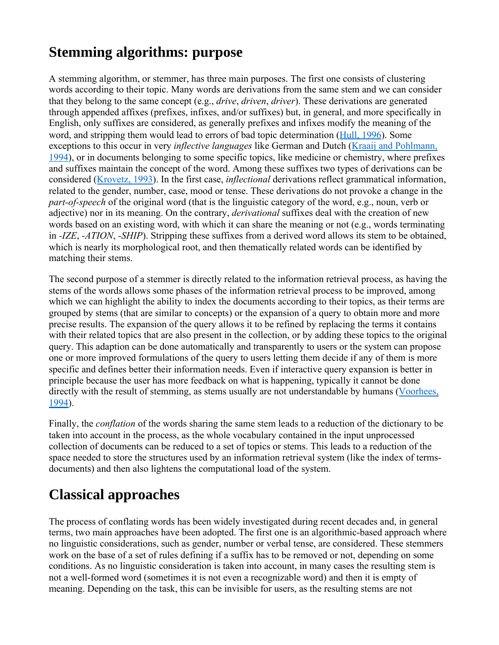# **Stemming algorithms: purpose**

A stemming algorithm, or stemmer, has three main purposes. The first one consists of clustering words according to their topic. Many words are derivations from the same stem and we can consider that they belong to the same concept (e.g., *drive*, *driven*, *driver*). These derivations are generated through appended affixes (prefixes, infixes, and/or suffixes) but, in general, and more specifically in English, only suffixes are considered, as generally prefixes and infixes modify the meaning of the word, and stripping them would lead to errors of bad topic determination (Hull, 1996). Some exceptions to this occur in very *inflective languages* like German and Dutch (Kraaij and Pohlmann, 1994), or in documents belonging to some specific topics, like medicine or chemistry, where prefixes and suffixes maintain the concept of the word. Among these suffixes two types of derivations can be considered (Krovetz, 1993). In the first case, *inflectional* derivations reflect grammatical information, related to the gender, number, case, mood or tense. These derivations do not provoke a change in the *part-of-speech* of the original word (that is the linguistic category of the word, e.g., noun, verb or adjective) nor in its meaning. On the contrary, *derivational* suffixes deal with the creation of new words based on an existing word, with which it can share the meaning or not (e.g., words terminating in *-IZE*, *-ATION*, *-SHIP*). Stripping these suffixes from a derived word allows its stem to be obtained, which is nearly its morphological root, and then thematically related words can be identified by matching their stems.

The second purpose of a stemmer is directly related to the information retrieval process, as having the stems of the words allows some phases of the information retrieval process to be improved, among which we can highlight the ability to index the documents according to their topics, as their terms are grouped by stems (that are similar to concepts) or the expansion of a query to obtain more and more precise results. The expansion of the query allows it to be refined by replacing the terms it contains with their related topics that are also present in the collection, or by adding these topics to the original query. This adaption can be done automatically and transparently to users or the system can propose one or more improved formulations of the query to users letting them decide if any of them is more specific and defines better their information needs. Even if interactive query expansion is better in principle because the user has more feedback on what is happening, typically it cannot be done directly with the result of stemming, as stems usually are not understandable by humans (Voorhees, 1994).

Finally, the *conflation* of the words sharing the same stem leads to a reduction of the dictionary to be taken into account in the process, as the whole vocabulary contained in the input unprocessed collection of documents can be reduced to a set of topics or stems. This leads to a reduction of the space needed to store the structures used by an information retrieval system (like the index of termsdocuments) and then also lightens the computational load of the system.

# **Classical approaches**

The process of conflating words has been widely investigated during recent decades and, in general terms, two main approaches have been adopted. The first one is an algorithmic-based approach where no linguistic considerations, such as gender, number or verbal tense, are considered. These stemmers work on the base of a set of rules defining if a suffix has to be removed or not, depending on some conditions. As no linguistic consideration is taken into account, in many cases the resulting stem is not a well-formed word (sometimes it is not even a recognizable word) and then it is empty of meaning. Depending on the task, this can be invisible for users, as the resulting stems are not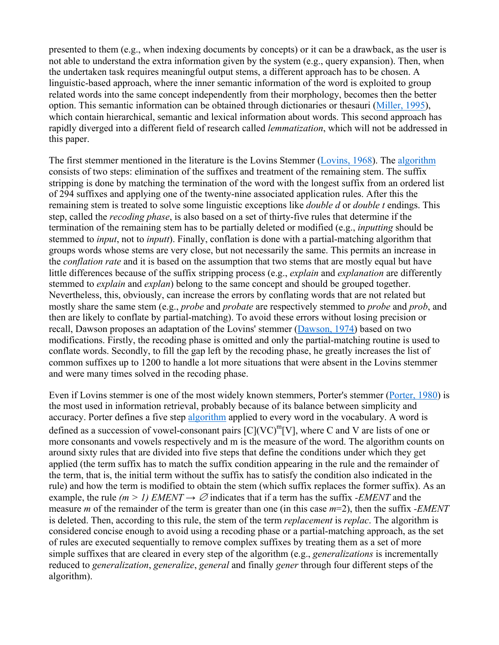presented to them (e.g., when indexing documents by concepts) or it can be a drawback, as the user is not able to understand the extra information given by the system (e.g., query expansion). Then, when the undertaken task requires meaningful output stems, a different approach has to be chosen. A linguistic-based approach, where the inner semantic information of the word is exploited to group related words into the same concept independently from their morphology, becomes then the better option. This semantic information can be obtained through dictionaries or thesauri (Miller, 1995), which contain hierarchical, semantic and lexical information about words. This second approach has rapidly diverged into a different field of research called *lemmatization*, which will not be addressed in this paper.

The first stemmer mentioned in the literature is the Lovins Stemmer (Lovins, 1968). The algorithm consists of two steps: elimination of the suffixes and treatment of the remaining stem. The suffix stripping is done by matching the termination of the word with the longest suffix from an ordered list of 294 suffixes and applying one of the twenty-nine associated application rules. After this the remaining stem is treated to solve some linguistic exceptions like *double d* or *double t* endings. This step, called the *recoding phase*, is also based on a set of thirty-five rules that determine if the termination of the remaining stem has to be partially deleted or modified (e.g., *inputting* should be stemmed to *input*, not to *inputt*). Finally, conflation is done with a partial-matching algorithm that groups words whose stems are very close, but not necessarily the same. This permits an increase in the *conflation rate* and it is based on the assumption that two stems that are mostly equal but have little differences because of the suffix stripping process (e.g., *explain* and *explanation* are differently stemmed to *explain* and *explan*) belong to the same concept and should be grouped together. Nevertheless, this, obviously, can increase the errors by conflating words that are not related but mostly share the same stem (e.g., *probe* and *probate* are respectively stemmed to *probe* and *prob*, and then are likely to conflate by partial-matching). To avoid these errors without losing precision or recall, Dawson proposes an adaptation of the Lovins' stemmer (Dawson, 1974) based on two modifications. Firstly, the recoding phase is omitted and only the partial-matching routine is used to conflate words. Secondly, to fill the gap left by the recoding phase, he greatly increases the list of common suffixes up to 1200 to handle a lot more situations that were absent in the Lovins stemmer and were many times solved in the recoding phase.

Even if Lovins stemmer is one of the most widely known stemmers, Porter's stemmer (Porter, 1980) is the most used in information retrieval, probably because of its balance between simplicity and accuracy. Porter defines a five step algorithm applied to every word in the vocabulary. A word is defined as a succession of vowel-consonant pairs  $[C](VC)^{m}[V]$ , where C and V are lists of one or more consonants and vowels respectively and m is the measure of the word. The algorithm counts on around sixty rules that are divided into five steps that define the conditions under which they get applied (the term suffix has to match the suffix condition appearing in the rule and the remainder of the term, that is, the initial term without the suffix has to satisfy the condition also indicated in the rule) and how the term is modified to obtain the stem (which suffix replaces the former suffix). As an example, the rule  $(m > 1)$  *EMENT*  $\rightarrow \emptyset$  indicates that if a term has the suffix *-EMENT* and the measure *m* of the remainder of the term is greater than one (in this case *m*=2), then the suffix *-EMENT* is deleted. Then, according to this rule, the stem of the term *replacement* is *replac*. The algorithm is considered concise enough to avoid using a recoding phase or a partial-matching approach, as the set of rules are executed sequentially to remove complex suffixes by treating them as a set of more simple suffixes that are cleared in every step of the algorithm (e.g., *generalizations* is incrementally reduced to *generalization*, *generalize*, *general* and finally *gener* through four different steps of the algorithm).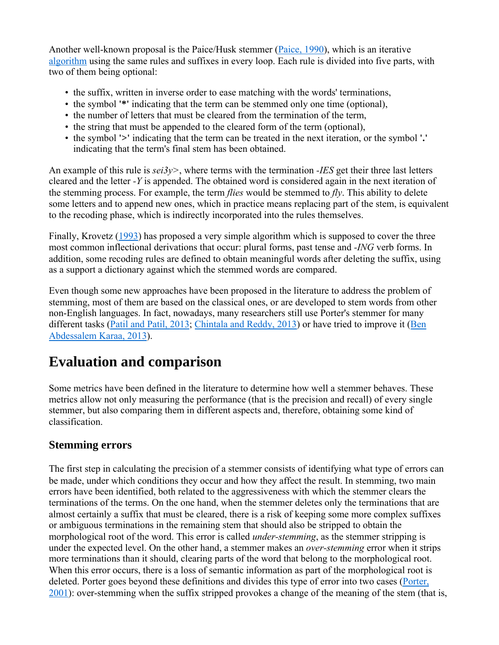Another well-known proposal is the Paice/Husk stemmer (Paice, 1990), which is an iterative algorithm using the same rules and suffixes in every loop. Each rule is divided into five parts, with two of them being optional:

- the suffix, written in inverse order to ease matching with the words' terminations,
- the symbol **'\*'** indicating that the term can be stemmed only one time (optional),
- the number of letters that must be cleared from the termination of the term,
- the string that must be appended to the cleared form of the term (optional),
- the symbol **'>'** indicating that the term can be treated in the next iteration, or the symbol **'.'** indicating that the term's final stem has been obtained.

An example of this rule is *sei3y>*, where terms with the termination *-IES* get their three last letters cleared and the letter *-Y* is appended. The obtained word is considered again in the next iteration of the stemming process. For example, the term *flies* would be stemmed to *fly*. This ability to delete some letters and to append new ones, which in practice means replacing part of the stem, is equivalent to the recoding phase, which is indirectly incorporated into the rules themselves.

Finally, Krovetz (1993) has proposed a very simple algorithm which is supposed to cover the three most common inflectional derivations that occur: plural forms, past tense and *-ING* verb forms. In addition, some recoding rules are defined to obtain meaningful words after deleting the suffix, using as a support a dictionary against which the stemmed words are compared.

Even though some new approaches have been proposed in the literature to address the problem of stemming, most of them are based on the classical ones, or are developed to stem words from other non-English languages. In fact, nowadays, many researchers still use Porter's stemmer for many different tasks (Patil and Patil, 2013; Chintala and Reddy, 2013) or have tried to improve it (Ben Abdessalem Karaa, 2013).

# **Evaluation and comparison**

Some metrics have been defined in the literature to determine how well a stemmer behaves. These metrics allow not only measuring the performance (that is the precision and recall) of every single stemmer, but also comparing them in different aspects and, therefore, obtaining some kind of classification.

#### **Stemming errors**

The first step in calculating the precision of a stemmer consists of identifying what type of errors can be made, under which conditions they occur and how they affect the result. In stemming, two main errors have been identified, both related to the aggressiveness with which the stemmer clears the terminations of the terms. On the one hand, when the stemmer deletes only the terminations that are almost certainly a suffix that must be cleared, there is a risk of keeping some more complex suffixes or ambiguous terminations in the remaining stem that should also be stripped to obtain the morphological root of the word. This error is called *under-stemming*, as the stemmer stripping is under the expected level. On the other hand, a stemmer makes an *over-stemming* error when it strips more terminations than it should, clearing parts of the word that belong to the morphological root. When this error occurs, there is a loss of semantic information as part of the morphological root is deleted. Porter goes beyond these definitions and divides this type of error into two cases (Porter, 2001): over-stemming when the suffix stripped provokes a change of the meaning of the stem (that is,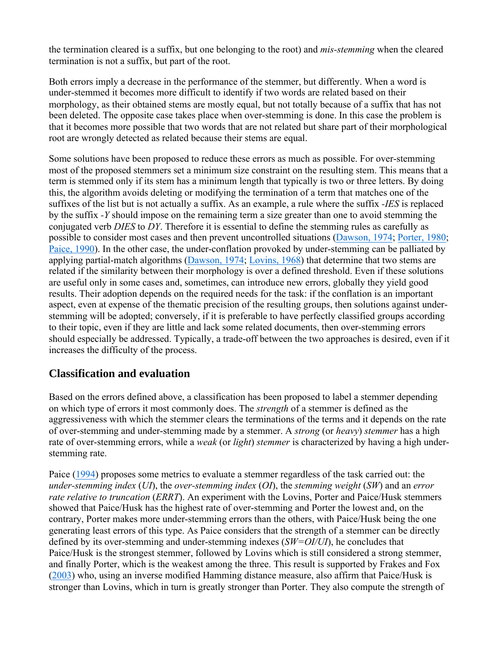the termination cleared is a suffix, but one belonging to the root) and *mis-stemming* when the cleared termination is not a suffix, but part of the root.

Both errors imply a decrease in the performance of the stemmer, but differently. When a word is under-stemmed it becomes more difficult to identify if two words are related based on their morphology, as their obtained stems are mostly equal, but not totally because of a suffix that has not been deleted. The opposite case takes place when over-stemming is done. In this case the problem is that it becomes more possible that two words that are not related but share part of their morphological root are wrongly detected as related because their stems are equal.

Some solutions have been proposed to reduce these errors as much as possible. For over-stemming most of the proposed stemmers set a minimum size constraint on the resulting stem. This means that a term is stemmed only if its stem has a minimum length that typically is two or three letters. By doing this, the algorithm avoids deleting or modifying the termination of a term that matches one of the suffixes of the list but is not actually a suffix. As an example, a rule where the suffix *-IES* is replaced by the suffix *-Y* should impose on the remaining term a size greater than one to avoid stemming the conjugated verb *DIES* to *DY*. Therefore it is essential to define the stemming rules as carefully as possible to consider most cases and then prevent uncontrolled situations (Dawson, 1974; Porter, 1980; Paice, 1990). In the other case, the under-conflation provoked by under-stemming can be palliated by applying partial-match algorithms (Dawson, 1974; Lovins, 1968) that determine that two stems are related if the similarity between their morphology is over a defined threshold. Even if these solutions are useful only in some cases and, sometimes, can introduce new errors, globally they yield good results. Their adoption depends on the required needs for the task: if the conflation is an important aspect, even at expense of the thematic precision of the resulting groups, then solutions against understemming will be adopted; conversely, if it is preferable to have perfectly classified groups according to their topic, even if they are little and lack some related documents, then over-stemming errors should especially be addressed. Typically, a trade-off between the two approaches is desired, even if it increases the difficulty of the process.

#### **Classification and evaluation**

Based on the errors defined above, a classification has been proposed to label a stemmer depending on which type of errors it most commonly does. The *strength* of a stemmer is defined as the aggressiveness with which the stemmer clears the terminations of the terms and it depends on the rate of over-stemming and under-stemming made by a stemmer. A *strong* (or *heavy*) *stemmer* has a high rate of over-stemming errors, while a *weak* (or *light*) *stemmer* is characterized by having a high understemming rate.

Paice (1994) proposes some metrics to evaluate a stemmer regardless of the task carried out: the *under-stemming index* (*UI*), the *over-stemming index* (*OI*), the *stemming weight* (*SW*) and an *error rate relative to truncation* (*ERRT*). An experiment with the Lovins, Porter and Paice/Husk stemmers showed that Paice/Husk has the highest rate of over-stemming and Porter the lowest and, on the contrary, Porter makes more under-stemming errors than the others, with Paice/Husk being the one generating least errors of this type. As Paice considers that the strength of a stemmer can be directly defined by its over-stemming and under-stemming indexes (*SW=OI/UI*), he concludes that Paice/Husk is the strongest stemmer, followed by Lovins which is still considered a strong stemmer, and finally Porter, which is the weakest among the three. This result is supported by Frakes and Fox (2003) who, using an inverse modified Hamming distance measure, also affirm that Paice/Husk is stronger than Lovins, which in turn is greatly stronger than Porter. They also compute the strength of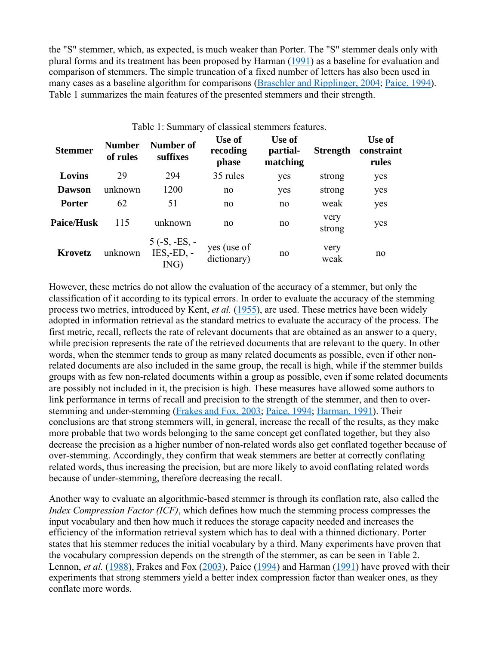the "S" stemmer, which, as expected, is much weaker than Porter. The "S" stemmer deals only with plural forms and its treatment has been proposed by Harman (1991) as a baseline for evaluation and comparison of stemmers. The simple truncation of a fixed number of letters has also been used in many cases as a baseline algorithm for comparisons (Braschler and Ripplinger, 2004; Paice, 1994). Table 1 summarizes the main features of the presented stemmers and their strength.

| Table 1: Summary of classical stemmers features. |                           |                                         |                             |                                |                 |                               |
|--------------------------------------------------|---------------------------|-----------------------------------------|-----------------------------|--------------------------------|-----------------|-------------------------------|
| <b>Stemmer</b>                                   | <b>Number</b><br>of rules | <b>Number of</b><br>suffixes            | Use of<br>recoding<br>phase | Use of<br>partial-<br>matching | <b>Strength</b> | Use of<br>constraint<br>rules |
| Lovins                                           | 29                        | 294                                     | 35 rules                    | yes                            | strong          | yes                           |
| <b>Dawson</b>                                    | unknown                   | 1200                                    | no                          | yes                            | strong          | yes                           |
| <b>Porter</b>                                    | 62                        | 51                                      | no                          | no                             | weak            | yes                           |
| <b>Paice/Husk</b>                                | 115                       | unknown                                 | no                          | no                             | very<br>strong  | yes                           |
| Krovetz                                          | unknown                   | $5(-S, -ES, -$<br>$IES, -ED, -$<br>ING) | yes (use of<br>dictionary)  | no                             | very<br>weak    | no                            |

However, these metrics do not allow the evaluation of the accuracy of a stemmer, but only the classification of it according to its typical errors. In order to evaluate the accuracy of the stemming process two metrics, introduced by Kent, *et al.* (1955), are used. These metrics have been widely adopted in information retrieval as the standard metrics to evaluate the accuracy of the process. The first metric, recall, reflects the rate of relevant documents that are obtained as an answer to a query, while precision represents the rate of the retrieved documents that are relevant to the query. In other words, when the stemmer tends to group as many related documents as possible, even if other nonrelated documents are also included in the same group, the recall is high, while if the stemmer builds groups with as few non-related documents within a group as possible, even if some related documents are possibly not included in it, the precision is high. These measures have allowed some authors to link performance in terms of recall and precision to the strength of the stemmer, and then to overstemming and under-stemming (Frakes and Fox, 2003; Paice, 1994; Harman, 1991). Their conclusions are that strong stemmers will, in general, increase the recall of the results, as they make more probable that two words belonging to the same concept get conflated together, but they also decrease the precision as a higher number of non-related words also get conflated together because of over-stemming. Accordingly, they confirm that weak stemmers are better at correctly conflating related words, thus increasing the precision, but are more likely to avoid conflating related words because of under-stemming, therefore decreasing the recall.

Another way to evaluate an algorithmic-based stemmer is through its conflation rate, also called the *Index Compression Factor (ICF)*, which defines how much the stemming process compresses the input vocabulary and then how much it reduces the storage capacity needed and increases the efficiency of the information retrieval system which has to deal with a thinned dictionary. Porter states that his stemmer reduces the initial vocabulary by a third. Many experiments have proven that the vocabulary compression depends on the strength of the stemmer, as can be seen in Table 2. Lennon, *et al.* (1988), Frakes and Fox (2003), Paice (1994) and Harman (1991) have proved with their experiments that strong stemmers yield a better index compression factor than weaker ones, as they conflate more words.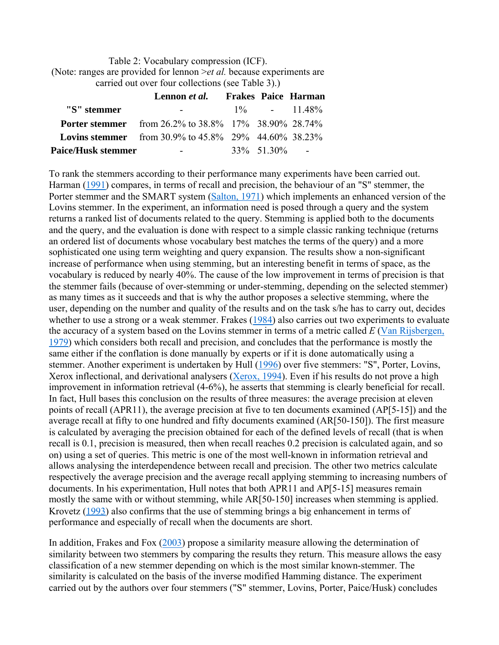Table 2: Vocabulary compression (ICF). (Note: ranges are provided for lennon >*et al.* because experiments are carried out over four collections (see Table 3).)

|                           | Lennon <i>et al.</i>                                        |                 | Frakes Paice Harman |
|---------------------------|-------------------------------------------------------------|-----------------|---------------------|
| "S" stemmer               |                                                             |                 | $1\%$ - 11.48%      |
|                           | <b>Porter stemmer</b> from 26.2% to 38.8% 17% 38.90% 28.74% |                 |                     |
|                           | <b>Lovins stemmer</b> from 30.9% to 45.8% 29% 44.60% 38.23% |                 |                     |
| <b>Paice/Husk stemmer</b> | -                                                           | $33\%$ 51 30% - |                     |

To rank the stemmers according to their performance many experiments have been carried out. Harman (1991) compares, in terms of recall and precision, the behaviour of an "S" stemmer, the Porter stemmer and the SMART system (Salton, 1971) which implements an enhanced version of the Lovins stemmer. In the experiment, an information need is posed through a query and the system returns a ranked list of documents related to the query. Stemming is applied both to the documents and the query, and the evaluation is done with respect to a simple classic ranking technique (returns) an ordered list of documents whose vocabulary best matches the terms of the query) and a more sophisticated one using term weighting and query expansion. The results show a non-significant increase of performance when using stemming, but an interesting benefit in terms of space, as the vocabulary is reduced by nearly 40%. The cause of the low improvement in terms of precision is that the stemmer fails (because of over-stemming or under-stemming, depending on the selected stemmer) as many times as it succeeds and that is why the author proposes a selective stemming, where the user, depending on the number and quality of the results and on the task s/he has to carry out, decides whether to use a strong or a weak stemmer. Frakes (1984) also carries out two experiments to evaluate the accuracy of a system based on the Lovins stemmer in terms of a metric called *E* (Van Rijsbergen, 1979) which considers both recall and precision, and concludes that the performance is mostly the same either if the conflation is done manually by experts or if it is done automatically using a stemmer. Another experiment is undertaken by Hull (1996) over five stemmers: "S", Porter, Lovins, Xerox inflectional, and derivational analysers (Xerox, 1994). Even if his results do not prove a high improvement in information retrieval (4-6%), he asserts that stemming is clearly beneficial for recall. In fact, Hull bases this conclusion on the results of three measures: the average precision at eleven points of recall (APR11), the average precision at five to ten documents examined (AP[5-15]) and the average recall at fifty to one hundred and fifty documents examined (AR[50-150]). The first measure is calculated by averaging the precision obtained for each of the defined levels of recall (that is when recall is 0.1, precision is measured, then when recall reaches 0.2 precision is calculated again, and so on) using a set of queries. This metric is one of the most well-known in information retrieval and allows analysing the interdependence between recall and precision. The other two metrics calculate respectively the average precision and the average recall applying stemming to increasing numbers of documents. In his experimentation, Hull notes that both APR11 and AP[5-15] measures remain mostly the same with or without stemming, while AR[50-150] increases when stemming is applied. Krovetz (1993) also confirms that the use of stemming brings a big enhancement in terms of performance and especially of recall when the documents are short.

In addition, Frakes and Fox (2003) propose a similarity measure allowing the determination of similarity between two stemmers by comparing the results they return. This measure allows the easy classification of a new stemmer depending on which is the most similar known-stemmer. The similarity is calculated on the basis of the inverse modified Hamming distance. The experiment carried out by the authors over four stemmers ("S" stemmer, Lovins, Porter, Paice/Husk) concludes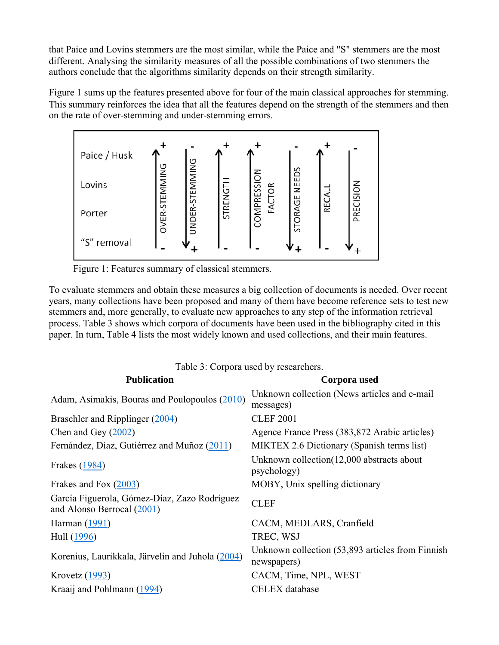that Paice and Lovins stemmers are the most similar, while the Paice and "S" stemmers are the most different. Analysing the similarity measures of all the possible combinations of two stemmers the authors conclude that the algorithms similarity depends on their strength similarity.

Figure 1 sums up the features presented above for four of the main classical approaches for stemming. This summary reinforces the idea that all the features depend on the strength of the stemmers and then on the rate of over-stemming and under-stemming errors.



Figure 1: Features summary of classical stemmers.

To evaluate stemmers and obtain these measures a big collection of documents is needed. Over recent years, many collections have been proposed and many of them have become reference sets to test new stemmers and, more generally, to evaluate new approaches to any step of the information retrieval process. Table 3 shows which corpora of documents have been used in the bibliography cited in this paper. In turn, Table 4 lists the most widely known and used collections, and their main features.

| Table 3: Corpora used by researchers.                                        |                                                                 |  |  |  |
|------------------------------------------------------------------------------|-----------------------------------------------------------------|--|--|--|
| <b>Publication</b>                                                           | Corpora used                                                    |  |  |  |
| Adam, Asimakis, Bouras and Poulopoulos (2010)                                | Unknown collection (News articles and e-mail<br>messages)       |  |  |  |
| Braschler and Ripplinger (2004)                                              | <b>CLEF 2001</b>                                                |  |  |  |
| Chen and Gey $(2002)$                                                        | Agence France Press (383,872 Arabic articles)                   |  |  |  |
| Fernández, Díaz, Gutiérrez and Muñoz (2011)                                  | MIKTEX 2.6 Dictionary (Spanish terms list)                      |  |  |  |
| Frakes (1984)                                                                | Unknown collection (12,000 abstracts about<br>psychology)       |  |  |  |
| Frakes and Fox (2003)                                                        | MOBY, Unix spelling dictionary                                  |  |  |  |
| García Figuerola, Gómez-Díaz, Zazo Rodríguez<br>and Alonso Berrocal $(2001)$ | <b>CLEF</b>                                                     |  |  |  |
| Harman (1991)                                                                | CACM, MEDLARS, Cranfield                                        |  |  |  |
| Hull (1996)                                                                  | TREC, WSJ                                                       |  |  |  |
| Korenius, Laurikkala, Järvelin and Juhola (2004)                             | Unknown collection (53,893 articles from Finnish<br>newspapers) |  |  |  |
| Krovetz $(1993)$                                                             | CACM, Time, NPL, WEST                                           |  |  |  |
| Kraaij and Pohlmann (1994)                                                   | <b>CELEX</b> database                                           |  |  |  |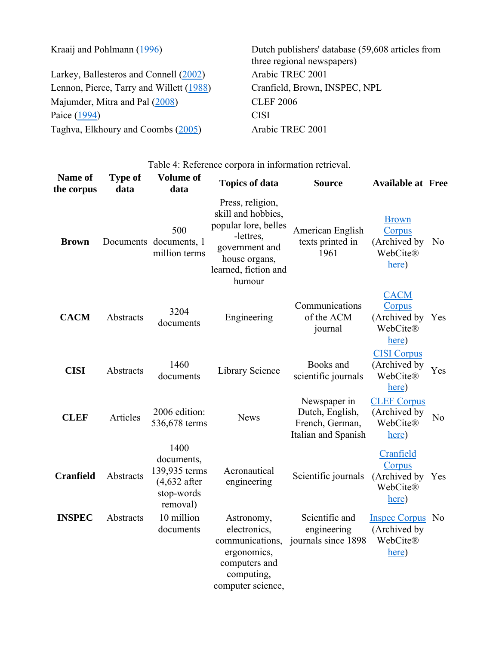| Kraaij and Pohlmann (1996)               | Dutch publishers' database (59,608 articles from<br>three regional newspapers) |
|------------------------------------------|--------------------------------------------------------------------------------|
| Larkey, Ballesteros and Connell (2002)   | Arabic TREC 2001                                                               |
| Lennon, Pierce, Tarry and Willett (1988) | Cranfield, Brown, INSPEC, NPL                                                  |
| Majumder, Mitra and Pal (2008)           | <b>CLEF 2006</b>                                                               |
| Paice (1994)                             | CISI                                                                           |
| Taghva, Elkhoury and Coombs (2005)       | Arabic TREC 2001                                                               |

Table 4: Reference corpora in information retrieval.

| Name of<br>the corpus | <b>Type of</b><br>data | <b>Volume of</b><br>data                                                        | <b>Topics of data</b>                                                                                                                            | <b>Source</b>                                                             | <b>Available at Free</b>                                     |                |
|-----------------------|------------------------|---------------------------------------------------------------------------------|--------------------------------------------------------------------------------------------------------------------------------------------------|---------------------------------------------------------------------------|--------------------------------------------------------------|----------------|
| <b>Brown</b>          |                        | 500<br>Documents documents, 1<br>million terms                                  | Press, religion,<br>skill and hobbies,<br>popular lore, belles<br>-lettres,<br>government and<br>house organs,<br>learned, fiction and<br>humour | American English<br>texts printed in<br>1961                              | <b>Brown</b><br>Corpus<br>(Archived by<br>WebCite®<br>here)  | N <sub>0</sub> |
| <b>CACM</b>           | Abstracts              | 3204<br>documents                                                               | Engineering                                                                                                                                      | Communications<br>of the ACM<br>journal                                   | <b>CACM</b><br>Corpus<br>(Archived by<br>WebCite®<br>here)   | Yes            |
| <b>CISI</b>           | Abstracts              | 1460<br>documents                                                               | Library Science                                                                                                                                  | Books and<br>scientific journals                                          | <b>CISI Corpus</b><br>(Archived by<br>WebCite®<br>here)      | <b>Yes</b>     |
| <b>CLEF</b>           | Articles               | 2006 edition:<br>536,678 terms                                                  | <b>News</b>                                                                                                                                      | Newspaper in<br>Dutch, English,<br>French, German,<br>Italian and Spanish | <b>CLEF Corpus</b><br>(Archived by<br>WebCite®<br>here)      | N <sub>0</sub> |
| <b>Cranfield</b>      | Abstracts              | 1400<br>documents,<br>139,935 terms<br>$(4,632$ after<br>stop-words<br>removal) | Aeronautical<br>engineering                                                                                                                      | Scientific journals                                                       | Cranfield<br>Corpus<br>(Archived by<br>WebCite®<br>here)     | Yes            |
| <b>INSPEC</b>         | Abstracts              | 10 million<br>documents                                                         | Astronomy,<br>electronics,<br>communications,<br>ergonomics,<br>computers and<br>computing,<br>computer science,                                 | Scientific and<br>engineering<br>journals since 1898                      | <b>Inspec Corpus</b> No<br>(Archived by<br>WebCite®<br>here) |                |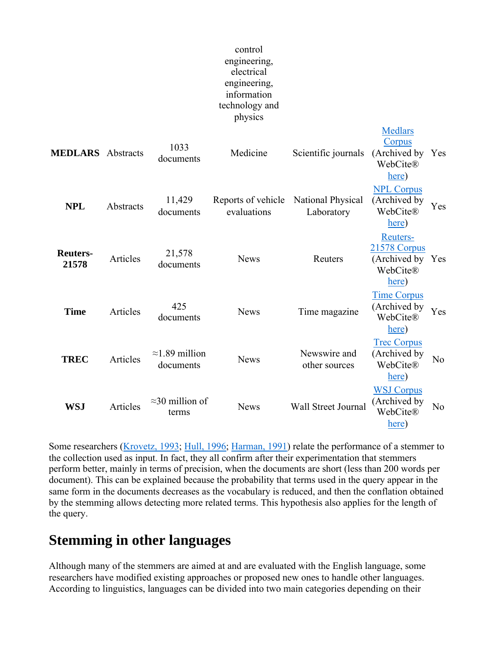#### control engineering, electrical engineering, information technology and physics

Medlars

| <b>MEDLARS</b> Abstracts |           | 1033<br>documents                   | Medicine                          | Scientific journals             | . <b>.</b> .<br>Corpus<br>(Archived by<br>WebCite®<br>here)    | Yes            |
|--------------------------|-----------|-------------------------------------|-----------------------------------|---------------------------------|----------------------------------------------------------------|----------------|
| <b>NPL</b>               | Abstracts | 11,429<br>documents                 | Reports of vehicle<br>evaluations | National Physical<br>Laboratory | <b>NPL Corpus</b><br>(Archived by<br>WebCite®<br>here)         | Yes            |
| <b>Reuters-</b><br>21578 | Articles  | 21,578<br>documents                 | <b>News</b>                       | Reuters                         | Reuters-<br>21578 Corpus<br>(Archived by)<br>WebCite®<br>here) | Yes            |
| <b>Time</b>              | Articles  | 425<br>documents                    | <b>News</b>                       | Time magazine                   | <b>Time Corpus</b><br>(Archived by<br>WebCite®<br>here)        | Yes            |
| <b>TREC</b>              | Articles  | $\approx$ 1.89 million<br>documents | <b>News</b>                       | Newswire and<br>other sources   | <b>Trec Corpus</b><br>(Archived by<br>WebCite®<br>here)        | N <sub>0</sub> |
| <b>WSJ</b>               | Articles  | $\approx$ 30 million of<br>terms    | <b>News</b>                       | Wall Street Journal             | <b>WSJ Corpus</b><br>(Archived by<br>WebCite®<br>here)         | N <sub>0</sub> |

Some researchers (Krovetz, 1993; Hull, 1996; Harman, 1991) relate the performance of a stemmer to the collection used as input. In fact, they all confirm after their experimentation that stemmers perform better, mainly in terms of precision, when the documents are short (less than 200 words per document). This can be explained because the probability that terms used in the query appear in the same form in the documents decreases as the vocabulary is reduced, and then the conflation obtained by the stemming allows detecting more related terms. This hypothesis also applies for the length of the query.

### **Stemming in other languages**

Although many of the stemmers are aimed at and are evaluated with the English language, some researchers have modified existing approaches or proposed new ones to handle other languages. According to linguistics, languages can be divided into two main categories depending on their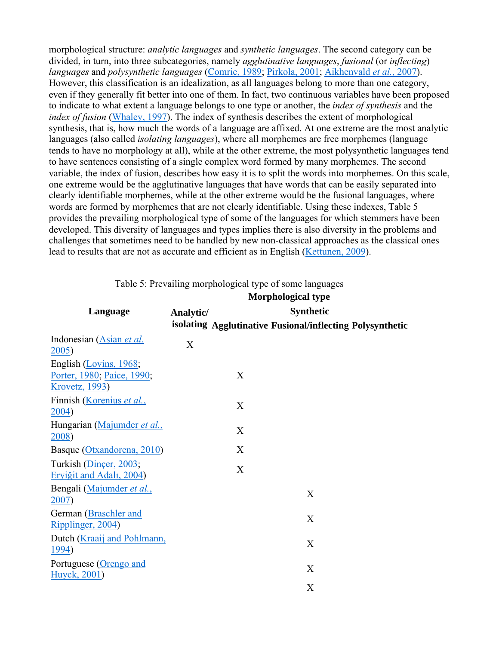morphological structure: *analytic languages* and *synthetic languages*. The second category can be divided, in turn, into three subcategories, namely *agglutinative languages*, *fusional* (or *inflecting*) *languages* and *polysynthetic languages* (Comrie, 1989; Pirkola, 2001; Aikhenvald *et al.*, 2007). However, this classification is an idealization, as all languages belong to more than one category, even if they generally fit better into one of them. In fact, two continuous variables have been proposed to indicate to what extent a language belongs to one type or another, the *index of synthesis* and the *index of fusion* (Whaley, 1997). The index of synthesis describes the extent of morphological synthesis, that is, how much the words of a language are affixed. At one extreme are the most analytic languages (also called *isolating languages*), where all morphemes are free morphemes (language tends to have no morphology at all), while at the other extreme, the most polysynthetic languages tend to have sentences consisting of a single complex word formed by many morphemes. The second variable, the index of fusion, describes how easy it is to split the words into morphemes. On this scale, one extreme would be the agglutinative languages that have words that can be easily separated into clearly identifiable morphemes, while at the other extreme would be the fusional languages, where words are formed by morphemes that are not clearly identifiable. Using these indexes, Table 5 provides the prevailing morphological type of some of the languages for which stemmers have been developed. This diversity of languages and types implies there is also diversity in the problems and challenges that sometimes need to be handled by new non-classical approaches as the classical ones lead to results that are not as accurate and efficient as in English (Kettunen, 2009).

|                                                                                | <b>Morphological type</b>     |   |                                                           |  |
|--------------------------------------------------------------------------------|-------------------------------|---|-----------------------------------------------------------|--|
| Language                                                                       | <b>Synthetic</b><br>Analytic/ |   |                                                           |  |
|                                                                                |                               |   | isolating Agglutinative Fusional/inflecting Polysynthetic |  |
| Indonesian (Asian et al.<br>2005                                               | X                             |   |                                                           |  |
| English (Lovins, 1968;<br>Porter, 1980; Paice, 1990;<br><b>Krovetz</b> , 1993) |                               | X |                                                           |  |
| Finnish (Korenius et al.,<br>2004)                                             |                               | X |                                                           |  |
| Hungarian (Majumder et al.,<br>2008)                                           |                               | X |                                                           |  |
| Basque (Otxandorena, 2010)                                                     |                               | X |                                                           |  |
| Turkish (Dincer, 2003;<br>Erviğit and Adalı, 2004)                             |                               | X |                                                           |  |
| Bengali (Majumder et al.,<br>2007)                                             |                               |   | X                                                         |  |
| German (Braschler and<br>Ripplinger, 2004)                                     |                               |   | X                                                         |  |
| Dutch (Kraaij and Pohlmann,<br><u>1994</u> )                                   |                               |   | $\mathbf{X}$                                              |  |
| Portuguese (Orengo and<br>Huyck, 2001)                                         |                               |   | X                                                         |  |
|                                                                                |                               |   | X                                                         |  |

Table 5: Prevailing morphological type of some languages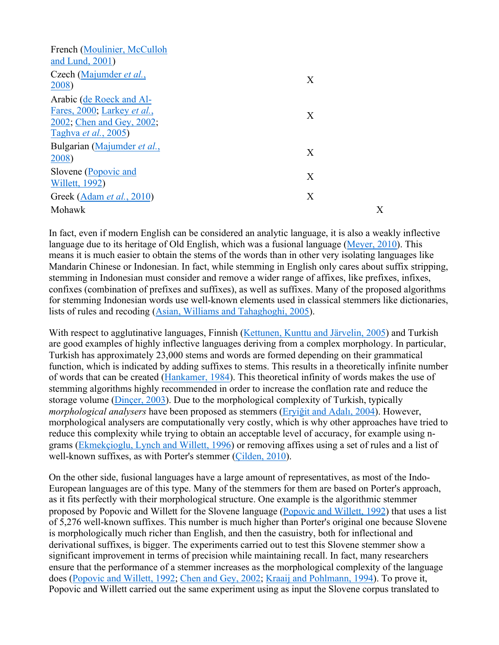| French (Moulinier, McCulloh<br>and Lund, 2001)                                                               |   |   |
|--------------------------------------------------------------------------------------------------------------|---|---|
| Czech (Majumder <i>et al.</i> ,<br>2008)                                                                     | X |   |
| Arabic (de Roeck and Al-<br>Fares, 2000; Larkey et al.,<br>2002, Chen and Gey, 2002,<br>Taghva et al., 2005) | X |   |
| Bulgarian (Majumder et al.,<br>2008)                                                                         | X |   |
| Slovene (Popovic and<br><b>Willett</b> , 1992)                                                               | X |   |
| Greek (Adam et al., 2010)                                                                                    | X |   |
| Mohawk                                                                                                       |   | X |

In fact, even if modern English can be considered an analytic language, it is also a weakly inflective language due to its heritage of Old English, which was a fusional language (Meyer, 2010). This means it is much easier to obtain the stems of the words than in other very isolating languages like Mandarin Chinese or Indonesian. In fact, while stemming in English only cares about suffix stripping, stemming in Indonesian must consider and remove a wider range of affixes, like prefixes, infixes, confixes (combination of prefixes and suffixes), as well as suffixes. Many of the proposed algorithms for stemming Indonesian words use well-known elements used in classical stemmers like dictionaries, lists of rules and recoding (Asian, Williams and Tahaghoghi, 2005).

With respect to agglutinative languages, Finnish (Kettunen, Kunttu and Järvelin, 2005) and Turkish are good examples of highly inflective languages deriving from a complex morphology. In particular, Turkish has approximately 23,000 stems and words are formed depending on their grammatical function, which is indicated by adding suffixes to stems. This results in a theoretically infinite number of words that can be created (Hankamer, 1984). This theoretical infinity of words makes the use of stemming algorithms highly recommended in order to increase the conflation rate and reduce the storage volume (Dinçer, 2003). Due to the morphological complexity of Turkish, typically *morphological analysers* have been proposed as stemmers (Eryiğit and Adalı, 2004). However, morphological analysers are computationally very costly, which is why other approaches have tried to reduce this complexity while trying to obtain an acceptable level of accuracy, for example using ngrams (Ekmekçioglu, Lynch and Willett, 1996) or removing affixes using a set of rules and a list of well-known suffixes, as with Porter's stemmer (Çilden, 2010).

On the other side, fusional languages have a large amount of representatives, as most of the Indo-European languages are of this type. Many of the stemmers for them are based on Porter's approach, as it fits perfectly with their morphological structure. One example is the algorithmic stemmer proposed by Popovic and Willett for the Slovene language (Popovic and Willett, 1992) that uses a list of 5,276 well-known suffixes. This number is much higher than Porter's original one because Slovene is morphologically much richer than English, and then the casuistry, both for inflectional and derivational suffixes, is bigger. The experiments carried out to test this Slovene stemmer show a significant improvement in terms of precision while maintaining recall. In fact, many researchers ensure that the performance of a stemmer increases as the morphological complexity of the language does (Popovic and Willett, 1992; Chen and Gey, 2002; Kraaij and Pohlmann, 1994). To prove it, Popovic and Willett carried out the same experiment using as input the Slovene corpus translated to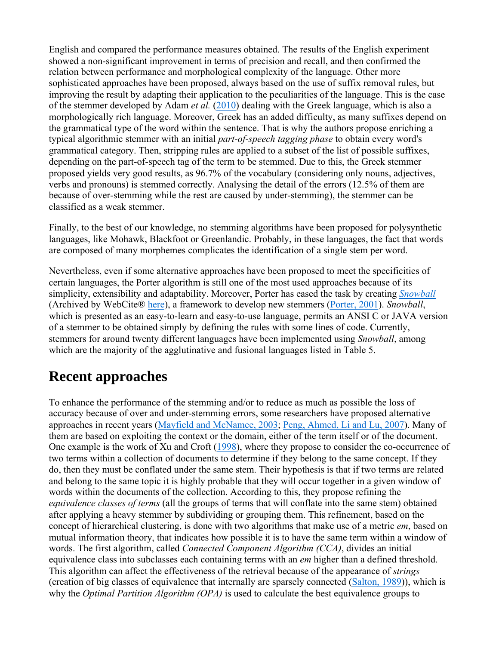English and compared the performance measures obtained. The results of the English experiment showed a non-significant improvement in terms of precision and recall, and then confirmed the relation between performance and morphological complexity of the language. Other more sophisticated approaches have been proposed, always based on the use of suffix removal rules, but improving the result by adapting their application to the peculiarities of the language. This is the case of the stemmer developed by Adam *et al.* (2010) dealing with the Greek language, which is also a morphologically rich language. Moreover, Greek has an added difficulty, as many suffixes depend on the grammatical type of the word within the sentence. That is why the authors propose enriching a typical algorithmic stemmer with an initial *part-of-speech tagging phase* to obtain every word's grammatical category. Then, stripping rules are applied to a subset of the list of possible suffixes, depending on the part-of-speech tag of the term to be stemmed. Due to this, the Greek stemmer proposed yields very good results, as 96.7% of the vocabulary (considering only nouns, adjectives, verbs and pronouns) is stemmed correctly. Analysing the detail of the errors (12.5% of them are because of over-stemming while the rest are caused by under-stemming), the stemmer can be classified as a weak stemmer.

Finally, to the best of our knowledge, no stemming algorithms have been proposed for polysynthetic languages, like Mohawk, Blackfoot or Greenlandic. Probably, in these languages, the fact that words are composed of many morphemes complicates the identification of a single stem per word.

Nevertheless, even if some alternative approaches have been proposed to meet the specificities of certain languages, the Porter algorithm is still one of the most used approaches because of its simplicity, extensibility and adaptability. Moreover, Porter has eased the task by creating *Snowball* (Archived by WebCite® here), a framework to develop new stemmers (Porter, 2001). *Snowball*, which is presented as an easy-to-learn and easy-to-use language, permits an ANSI C or JAVA version of a stemmer to be obtained simply by defining the rules with some lines of code. Currently, stemmers for around twenty different languages have been implemented using *Snowball*, among which are the majority of the agglutinative and fusional languages listed in Table 5.

# **Recent approaches**

To enhance the performance of the stemming and/or to reduce as much as possible the loss of accuracy because of over and under-stemming errors, some researchers have proposed alternative approaches in recent years (Mayfield and McNamee, 2003; Peng, Ahmed, Li and Lu, 2007). Many of them are based on exploiting the context or the domain, either of the term itself or of the document. One example is the work of Xu and Croft (1998), where they propose to consider the co-occurrence of two terms within a collection of documents to determine if they belong to the same concept. If they do, then they must be conflated under the same stem. Their hypothesis is that if two terms are related and belong to the same topic it is highly probable that they will occur together in a given window of words within the documents of the collection. According to this, they propose refining the *equivalence classes of terms* (all the groups of terms that will conflate into the same stem) obtained after applying a heavy stemmer by subdividing or grouping them. This refinement, based on the concept of hierarchical clustering, is done with two algorithms that make use of a metric *em*, based on mutual information theory, that indicates how possible it is to have the same term within a window of words. The first algorithm, called *Connected Component Algorithm (CCA)*, divides an initial equivalence class into subclasses each containing terms with an *em* higher than a defined threshold. This algorithm can affect the effectiveness of the retrieval because of the appearance of *strings* (creation of big classes of equivalence that internally are sparsely connected (Salton, 1989)), which is why the *Optimal Partition Algorithm (OPA)* is used to calculate the best equivalence groups to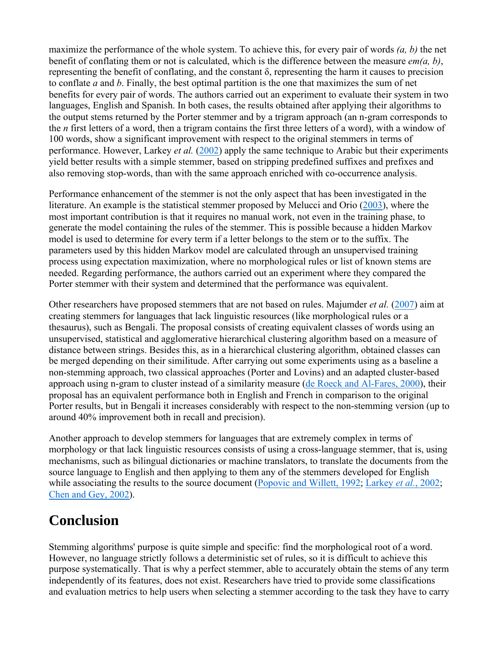maximize the performance of the whole system. To achieve this, for every pair of words *(a, b)* the net benefit of conflating them or not is calculated, which is the difference between the measure *em(a, b)*, representing the benefit of conflating, and the constant δ, representing the harm it causes to precision to conflate *a* and *b*. Finally, the best optimal partition is the one that maximizes the sum of net benefits for every pair of words. The authors carried out an experiment to evaluate their system in two languages, English and Spanish. In both cases, the results obtained after applying their algorithms to the output stems returned by the Porter stemmer and by a trigram approach (an n-gram corresponds to the *n* first letters of a word, then a trigram contains the first three letters of a word), with a window of 100 words, show a significant improvement with respect to the original stemmers in terms of performance. However, Larkey *et al.* (2002) apply the same technique to Arabic but their experiments yield better results with a simple stemmer, based on stripping predefined suffixes and prefixes and also removing stop-words, than with the same approach enriched with co-occurrence analysis.

Performance enhancement of the stemmer is not the only aspect that has been investigated in the literature. An example is the statistical stemmer proposed by Melucci and Orio (2003), where the most important contribution is that it requires no manual work, not even in the training phase, to generate the model containing the rules of the stemmer. This is possible because a hidden Markov model is used to determine for every term if a letter belongs to the stem or to the suffix. The parameters used by this hidden Markov model are calculated through an unsupervised training process using expectation maximization, where no morphological rules or list of known stems are needed. Regarding performance, the authors carried out an experiment where they compared the Porter stemmer with their system and determined that the performance was equivalent.

Other researchers have proposed stemmers that are not based on rules. Majumder *et al.* (2007) aim at creating stemmers for languages that lack linguistic resources (like morphological rules or a thesaurus), such as Bengali. The proposal consists of creating equivalent classes of words using an unsupervised, statistical and agglomerative hierarchical clustering algorithm based on a measure of distance between strings. Besides this, as in a hierarchical clustering algorithm, obtained classes can be merged depending on their similitude. After carrying out some experiments using as a baseline a non-stemming approach, two classical approaches (Porter and Lovins) and an adapted cluster-based approach using n-gram to cluster instead of a similarity measure (de Roeck and Al-Fares, 2000), their proposal has an equivalent performance both in English and French in comparison to the original Porter results, but in Bengali it increases considerably with respect to the non-stemming version (up to around 40% improvement both in recall and precision).

Another approach to develop stemmers for languages that are extremely complex in terms of morphology or that lack linguistic resources consists of using a cross-language stemmer, that is, using mechanisms, such as bilingual dictionaries or machine translators, to translate the documents from the source language to English and then applying to them any of the stemmers developed for English while associating the results to the source document (Popovic and Willett, 1992; Larkey *et al.*, 2002; Chen and Gey, 2002).

# **Conclusion**

Stemming algorithms' purpose is quite simple and specific: find the morphological root of a word. However, no language strictly follows a deterministic set of rules, so it is difficult to achieve this purpose systematically. That is why a perfect stemmer, able to accurately obtain the stems of any term independently of its features, does not exist. Researchers have tried to provide some classifications and evaluation metrics to help users when selecting a stemmer according to the task they have to carry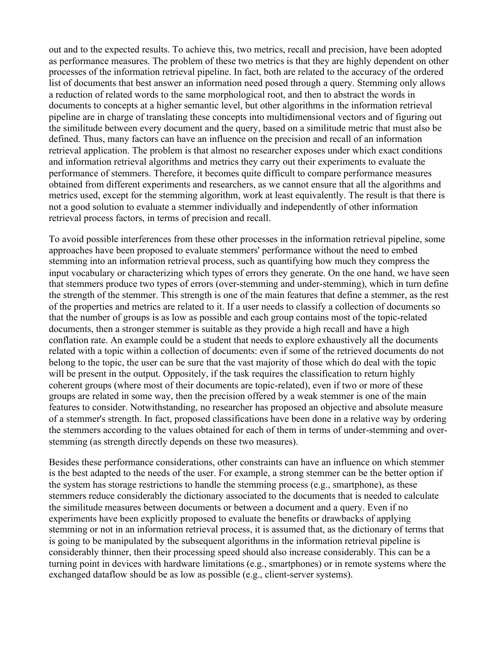out and to the expected results. To achieve this, two metrics, recall and precision, have been adopted as performance measures. The problem of these two metrics is that they are highly dependent on other processes of the information retrieval pipeline. In fact, both are related to the accuracy of the ordered list of documents that best answer an information need posed through a query. Stemming only allows a reduction of related words to the same morphological root, and then to abstract the words in documents to concepts at a higher semantic level, but other algorithms in the information retrieval pipeline are in charge of translating these concepts into multidimensional vectors and of figuring out the similitude between every document and the query, based on a similitude metric that must also be defined. Thus, many factors can have an influence on the precision and recall of an information retrieval application. The problem is that almost no researcher exposes under which exact conditions and information retrieval algorithms and metrics they carry out their experiments to evaluate the performance of stemmers. Therefore, it becomes quite difficult to compare performance measures obtained from different experiments and researchers, as we cannot ensure that all the algorithms and metrics used, except for the stemming algorithm, work at least equivalently. The result is that there is not a good solution to evaluate a stemmer individually and independently of other information retrieval process factors, in terms of precision and recall.

To avoid possible interferences from these other processes in the information retrieval pipeline, some approaches have been proposed to evaluate stemmers' performance without the need to embed stemming into an information retrieval process, such as quantifying how much they compress the input vocabulary or characterizing which types of errors they generate. On the one hand, we have seen that stemmers produce two types of errors (over-stemming and under-stemming), which in turn define the strength of the stemmer. This strength is one of the main features that define a stemmer, as the rest of the properties and metrics are related to it. If a user needs to classify a collection of documents so that the number of groups is as low as possible and each group contains most of the topic-related documents, then a stronger stemmer is suitable as they provide a high recall and have a high conflation rate. An example could be a student that needs to explore exhaustively all the documents related with a topic within a collection of documents: even if some of the retrieved documents do not belong to the topic, the user can be sure that the vast majority of those which do deal with the topic will be present in the output. Oppositely, if the task requires the classification to return highly coherent groups (where most of their documents are topic-related), even if two or more of these groups are related in some way, then the precision offered by a weak stemmer is one of the main features to consider. Notwithstanding, no researcher has proposed an objective and absolute measure of a stemmer's strength. In fact, proposed classifications have been done in a relative way by ordering the stemmers according to the values obtained for each of them in terms of under-stemming and overstemming (as strength directly depends on these two measures).

Besides these performance considerations, other constraints can have an influence on which stemmer is the best adapted to the needs of the user. For example, a strong stemmer can be the better option if the system has storage restrictions to handle the stemming process (e.g., smartphone), as these stemmers reduce considerably the dictionary associated to the documents that is needed to calculate the similitude measures between documents or between a document and a query. Even if no experiments have been explicitly proposed to evaluate the benefits or drawbacks of applying stemming or not in an information retrieval process, it is assumed that, as the dictionary of terms that is going to be manipulated by the subsequent algorithms in the information retrieval pipeline is considerably thinner, then their processing speed should also increase considerably. This can be a turning point in devices with hardware limitations (e.g., smartphones) or in remote systems where the exchanged dataflow should be as low as possible (e.g., client-server systems).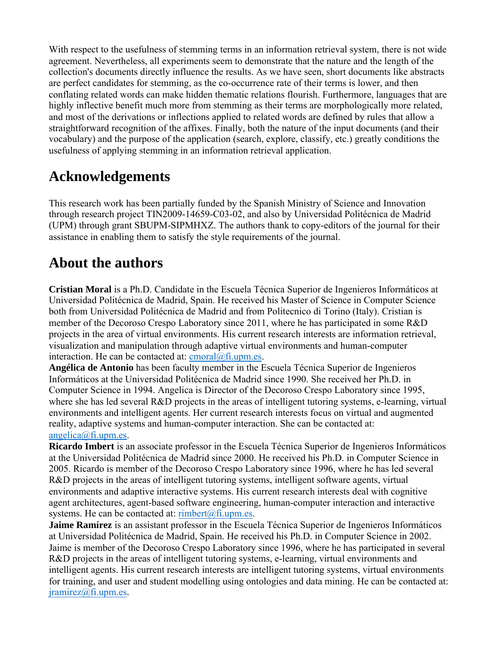With respect to the usefulness of stemming terms in an information retrieval system, there is not wide agreement. Nevertheless, all experiments seem to demonstrate that the nature and the length of the collection's documents directly influence the results. As we have seen, short documents like abstracts are perfect candidates for stemming, as the co-occurrence rate of their terms is lower, and then conflating related words can make hidden thematic relations flourish. Furthermore, languages that are highly inflective benefit much more from stemming as their terms are morphologically more related, and most of the derivations or inflections applied to related words are defined by rules that allow a straightforward recognition of the affixes. Finally, both the nature of the input documents (and their vocabulary) and the purpose of the application (search, explore, classify, etc.) greatly conditions the usefulness of applying stemming in an information retrieval application.

# **Acknowledgements**

This research work has been partially funded by the Spanish Ministry of Science and Innovation through research project TIN2009-14659-C03-02, and also by Universidad Politécnica de Madrid (UPM) through grant SBUPM-SIPMHXZ. The authors thank to copy-editors of the journal for their assistance in enabling them to satisfy the style requirements of the journal.

# **About the authors**

**Cristian Moral** is a Ph.D. Candidate in the Escuela Técnica Superior de Ingenieros Informáticos at Universidad Politécnica de Madrid, Spain. He received his Master of Science in Computer Science both from Universidad Politécnica de Madrid and from Politecnico di Torino (Italy). Cristian is member of the Decoroso Crespo Laboratory since 2011, where he has participated in some R&D projects in the area of virtual environments. His current research interests are information retrieval, visualization and manipulation through adaptive virtual environments and human-computer interaction. He can be contacted at:  $\text{cmoral}(\partial \text{fi.upm.es.})$ 

**Angélica de Antonio** has been faculty member in the Escuela Técnica Superior de Ingenieros Informáticos at the Universidad Politécnica de Madrid since 1990. She received her Ph.D. in Computer Science in 1994. Angelica is Director of the Decoroso Crespo Laboratory since 1995, where she has led several R&D projects in the areas of intelligent tutoring systems, e-learning, virtual environments and intelligent agents. Her current research interests focus on virtual and augmented reality, adaptive systems and human-computer interaction. She can be contacted at: angelica@fi.upm.es.

**Ricardo Imbert** is an associate professor in the Escuela Técnica Superior de Ingenieros Informáticos at the Universidad Politécnica de Madrid since 2000. He received his Ph.D. in Computer Science in 2005. Ricardo is member of the Decoroso Crespo Laboratory since 1996, where he has led several R&D projects in the areas of intelligent tutoring systems, intelligent software agents, virtual environments and adaptive interactive systems. His current research interests deal with cognitive agent architectures, agent-based software engineering, human-computer interaction and interactive systems. He can be contacted at:  $\mathbf{r}$  imbert $(\mathbf{a})$  fi.upm.es.

**Jaime Ramírez** is an assistant professor in the Escuela Técnica Superior de Ingenieros Informáticos at Universidad Politécnica de Madrid, Spain. He received his Ph.D. in Computer Science in 2002. Jaime is member of the Decoroso Crespo Laboratory since 1996, where he has participated in several R&D projects in the areas of intelligent tutoring systems, e-learning, virtual environments and intelligent agents. His current research interests are intelligent tutoring systems, virtual environments for training, and user and student modelling using ontologies and data mining. He can be contacted at: jramirez@fi.upm.es.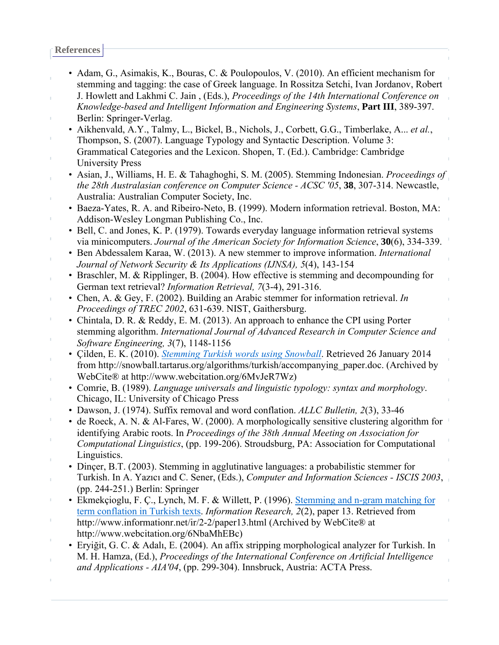**References**

- Adam, G., Asimakis, K., Bouras, C. & Poulopoulos, V. (2010). An efficient mechanism for stemming and tagging: the case of Greek language. In Rossitza Setchi, Ivan Jordanov, Robert
- J. Howlett and Lakhmi C. Jain , (Eds.), *Proceedings of the 14th International Conference on Knowledge-based and Intelligent Information and Engineering Systems*, **Part III**, 389-397. Berlin: Springer-Verlag.
- Aikhenvald, A.Y., Talmy, L., Bickel, B., Nichols, J., Corbett, G.G., Timberlake, A... *et al.*, Thompson, S. (2007). Language Typology and Syntactic Description. Volume 3: Grammatical Categories and the Lexicon. Shopen, T. (Ed.). Cambridge: Cambridge University Press
- Asian, J., Williams, H. E. & Tahaghoghi, S. M. (2005). Stemming Indonesian. *Proceedings of the 28th Australasian conference on Computer Science - ACSC '05*, **38**, 307-314. Newcastle, Australia: Australian Computer Society, Inc.
- Baeza-Yates, R. A. and Ribeiro-Neto, B. (1999). Modern information retrieval. Boston, MA: Addison-Wesley Longman Publishing Co., Inc.
- Bell, C. and Jones, K. P. (1979). Towards everyday language information retrieval systems via minicomputers. *Journal of the American Society for Information Science*, **30**(6), 334-339.
- Ben Abdessalem Karaa, W. (2013). A new stemmer to improve information. *International Journal of Network Security & Its Applications (IJNSA), 5*(4), 143-154
- Braschler, M. & Ripplinger, B. (2004). How effective is stemming and decompounding for German text retrieval? *Information Retrieval, 7*(3-4), 291-316.
- Chen, A. & Gey, F. (2002). Building an Arabic stemmer for information retrieval. *In Proceedings of TREC 2002*, 631-639. NIST, Gaithersburg.
- Chintala, D. R. & Reddy, E. M. (2013). An approach to enhance the CPI using Porter stemming algorithm. *International Journal of Advanced Research in Computer Science and Software Engineering, 3*(7), 1148-1156
- Çilden, E. K. (2010). *Stemming Turkish words using Snowball*. Retrieved 26 January 2014 from http://snowball.tartarus.org/algorithms/turkish/accompanying\_paper.doc. (Archived by WebCite® at http://www.webcitation.org/6MvJeR7Wz)
- Comrie, B. (1989). *Language universals and linguistic typology: syntax and morphology*. Chicago, IL: University of Chicago Press
- Dawson, J. (1974). Suffix removal and word conflation. *ALLC Bulletin, 2*(3), 33-46
- de Roeck, A. N. & Al-Fares, W. (2000). A morphologically sensitive clustering algorithm for identifying Arabic roots. In *Proceedings of the 38th Annual Meeting on Association for Computational Linguistics*, (pp. 199-206). Stroudsburg, PA: Association for Computational Linguistics.
- Dinçer, B.T. (2003). Stemming in agglutinative languages: a probabilistic stemmer for Turkish. In A. Yazıcı and C. Sener, (Eds.), *Computer and Information Sciences - ISCIS 2003*, (pp. 244-251.) Berlin: Springer
- Ekmekçioglu, F. Ç., Lynch, M. F. & Willett, P. (1996). Stemming and n-gram matching for term conflation in Turkish texts. *Information Research, 2*(2), paper 13. Retrieved from http://www.informationr.net/ir/2-2/paper13.html (Archived by WebCite® at http://www.webcitation.org/6NbaMhEBc)
- Eryiğit, G. C. & Adalı, E. (2004). An affix stripping morphological analyzer for Turkish. In M. H. Hamza, (Ed.), *Proceedings of the International Conference on Artificial Intelligence and Applications - AIA'04*, (pp. 299-304). Innsbruck, Austria: ACTA Press.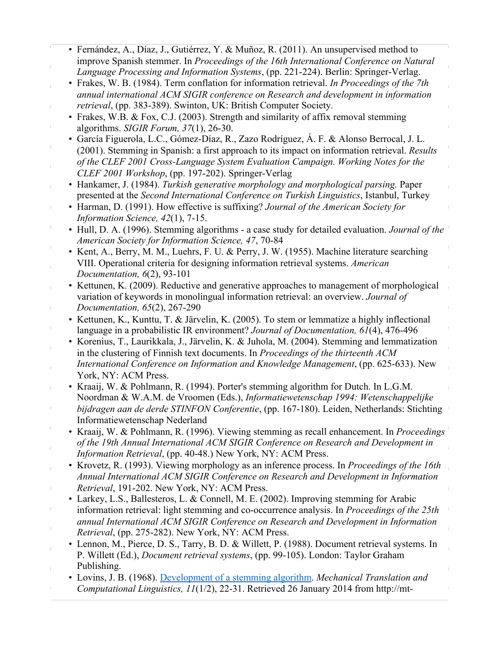- Fernández, A., Díaz, J., Gutiérrez, Y. & Muñoz, R. (2011). An unsupervised method to improve Spanish stemmer. In *Proceedings of the 16th International Conference on Natural Language Processing and Information Systems*, (pp. 221-224). Berlin: Springer-Verlag.
- Frakes, W. B. (1984). Term conflation for information retrieval. *In Proceedings of the 7th annual international ACM SIGIR conference on Research and development in information retrieval*, (pp. 383-389). Swinton, UK: British Computer Society.
- Frakes, W.B. & Fox, C.J. (2003). Strength and similarity of affix removal stemming algorithms. *SIGIR Forum, 37*(1), 26-30.
- García Figuerola, L.C., Gómez-Díaz, R., Zazo Rodríguez, Á. F. & Alonso Berrocal, J. L. (2001). Stemming in Spanish: a first approach to its impact on information retrieval. *Results of the CLEF 2001 Cross-Language System Evaluation Campaign. Working Notes for the CLEF 2001 Workshop*, (pp. 197-202). Springer-Verlag
- Hankamer, J. (1984). *Turkish generative morphology and morphological parsing.* Paper presented at the *Second International Conference on Turkish Linguistics*, Istanbul, Turkey
- Harman, D. (1991). How effective is suffixing? *Journal of the American Society for Information Science, 42*(1), 7-15.

 $\bar{\mathbb{F}}$ 

- Hull, D. A. (1996). Stemming algorithms a case study for detailed evaluation. *Journal of the American Society for Information Science, 47*, 70-84
- Kent, A., Berry, M. M., Luehrs, F. U. & Perry, J. W. (1955). Machine literature searching VIII. Operational criteria for designing information retrieval systems. *American Documentation, 6*(2), 93-101
- Kettunen, K. (2009). Reductive and generative approaches to management of morphological variation of keywords in monolingual information retrieval: an overview. *Journal of Documentation, 65*(2), 267-290
- Kettunen, K., Kunttu, T. & Järvelin, K. (2005). To stem or lemmatize a highly inflectional language in a probabilistic IR environment? *Journal of Documentation, 61*(4), 476-496
- Korenius, T., Laurikkala, J., Järvelin, K. & Juhola, M. (2004). Stemming and lemmatization in the clustering of Finnish text documents. In *Proceedings of the thirteenth ACM International Conference on Information and Knowledge Management*, (pp. 625-633). New York, NY: ACM Press.
- Kraaij, W. & Pohlmann, R. (1994). Porter's stemming algorithm for Dutch. In L.G.M. Noordman & W.A.M. de Vroomen (Eds.), *Informatiewetenschap 1994: Wetenschappelijke bijdragen aan de derde STINFON Conferentie*, (pp. 167-180). Leiden, Netherlands: Stichting Informatiewetenschap Nederland
- Kraaij, W. & Pohlmann, R. (1996). Viewing stemming as recall enhancement. In *Proceedings of the 19th Annual International ACM SIGIR Conference on Research and Development in Information Retrieval*, (pp. 40-48.) New York, NY: ACM Press.
- Krovetz, R. (1993). Viewing morphology as an inference process. In *Proceedings of the 16th Annual International ACM SIGIR Conference on Research and Development in Information Retrieval*, 191-202. New York, NY: ACM Press.
- Larkey, L.S., Ballesteros, L. & Connell, M. E. (2002). Improving stemming for Arabic information retrieval: light stemming and co-occurrence analysis. In *Proceedings of the 25th annual International ACM SIGIR Conference on Research and Development in Information Retrieval*, (pp. 275-282). New York, NY: ACM Press.
- Lennon, M., Pierce, D. S., Tarry, B. D. & Willett, P. (1988). Document retrieval systems. In P. Willett (Ed.), *Document retrieval systems*, (pp. 99-105). London: Taylor Graham Publishing.
- Lovins, J. B. (1968). Development of a stemming algorithm. *Mechanical Translation and Computational Linguistics, 11*(1/2), 22-31. Retrieved 26 January 2014 from http://mt-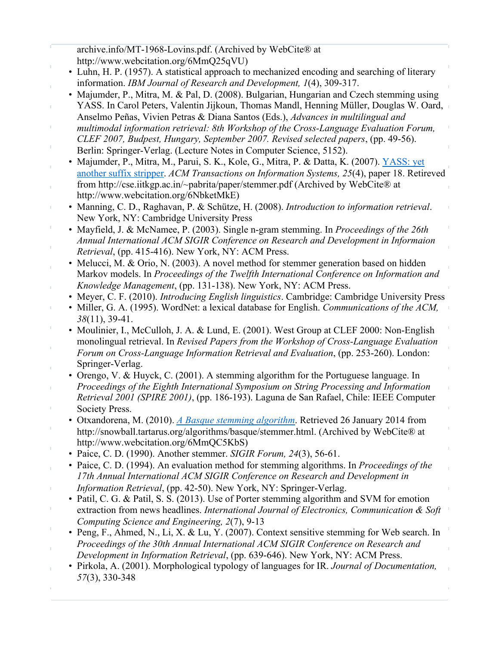archive.info/MT-1968-Lovins.pdf. (Archived by WebCite® at

- http://www.webcitation.org/6MmQ25qVU)
- Luhn, H. P. (1957). A statistical approach to mechanized encoding and searching of literary information. *IBM Journal of Research and Development, 1*(4), 309-317.
- Majumder, P., Mitra, M. & Pal, D. (2008). Bulgarian, Hungarian and Czech stemming using YASS. In Carol Peters, Valentin Jijkoun, Thomas Mandl, Henning Müller, Douglas W. Oard, Anselmo Peñas, Vivien Petras & Diana Santos (Eds.), *Advances in multilingual and*
- *multimodal information retrieval: 8th Workshop of the Cross-Language Evaluation Forum, CLEF 2007, Budpest, Hungary, September 2007. Revised selected papers*, (pp. 49-56).
- Berlin: Springer-Verlag. (Lecture Notes in Computer Science, 5152).
- Majumder, P., Mitra, M., Parui, S. K., Kole, G., Mitra, P. & Datta, K. (2007). YASS: yet another suffix stripper. *ACM Transactions on Information Systems, 25*(4), paper 18. Retireved from http://cse.iitkgp.ac.in/~pabrita/paper/stemmer.pdf (Archived by WebCite® at http://www.webcitation.org/6NbketMkE)
- Manning, C. D., Raghavan, P. & Schütze, H. (2008). *Introduction to information retrieval*. New York, NY: Cambridge University Press
- Mayfield, J. & McNamee, P. (2003). Single n-gram stemming. In *Proceedings of the 26th Annual International ACM SIGIR Conference on Research and Development in Informaion Retrieval*, (pp. 415-416). New York, NY: ACM Press.
- Melucci, M. & Orio, N. (2003). A novel method for stemmer generation based on hidden Markov models. In *Proceedings of the Twelfth International Conference on Information and Knowledge Management*, (pp. 131-138). New York, NY: ACM Press.
- Meyer, C. F. (2010). *Introducing English linguistics*. Cambridge: Cambridge University Press
- Miller, G. A. (1995). WordNet: a lexical database for English. *Communications of the ACM, 38*(11), 39-41.
- Moulinier, I., McCulloh, J. A. & Lund, E. (2001). West Group at CLEF 2000: Non-English monolingual retrieval. In *Revised Papers from the Workshop of Cross-Language Evaluation Forum on Cross-Language Information Retrieval and Evaluation*, (pp. 253-260). London: Springer-Verlag.
- Orengo, V. & Huyck, C. (2001). A stemming algorithm for the Portuguese language. In *Proceedings of the Eighth International Symposium on String Processing and Information Retrieval 2001 (SPIRE 2001)*, (pp. 186-193). Laguna de San Rafael, Chile: IEEE Computer Society Press.
- Otxandorena, M. (2010). *A Basque stemming algorithm*. Retrieved 26 January 2014 from http://snowball.tartarus.org/algorithms/basque/stemmer.html. (Archived by WebCite® at http://www.webcitation.org/6MmQC5KbS)
- Paice, C. D. (1990). Another stemmer. *SIGIR Forum, 24*(3), 56-61.
- Paice, C. D. (1994). An evaluation method for stemming algorithms. In *Proceedings of the 17th Annual International ACM SIGIR Conference on Research and Development in Information Retrieval*, (pp. 42-50). New York, NY: Springer-Verlag.
- Patil, C. G. & Patil, S. S. (2013). Use of Porter stemming algorithm and SVM for emotion extraction from news headlines. *International Journal of Electronics, Communication & Soft Computing Science and Engineering, 2*(7), 9-13
- Peng, F., Ahmed, N., Li, X. & Lu, Y. (2007). Context sensitive stemming for Web search. In *Proceedings of the 30th Annual International ACM SIGIR Conference on Research and Development in Information Retrieval*, (pp. 639-646). New York, NY: ACM Press.
- Pirkola, A. (2001). Morphological typology of languages for IR. *Journal of Documentation, 57*(3), 330-348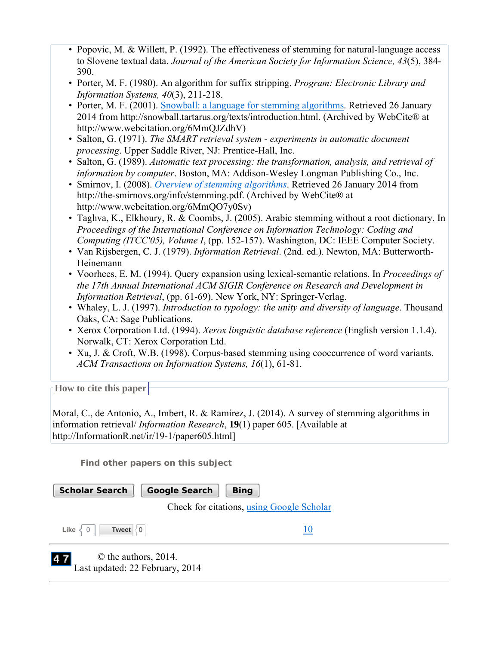- Popovic, M. & Willett, P. (1992). The effectiveness of stemming for natural-language access to Slovene textual data. *Journal of the American Society for Information Science, 43*(5), 384- 390.
- Porter, M. F. (1980). An algorithm for suffix stripping. *Program: Electronic Library and Information Systems, 40*(3), 211-218.
- Porter, M. F. (2001). Snowball: a language for stemming algorithms. Retrieved 26 January 2014 from http://snowball.tartarus.org/texts/introduction.html. (Archived by WebCite® at http://www.webcitation.org/6MmQJZdhV)
- Salton, G. (1971). *The SMART retrieval system experiments in automatic document processing*. Upper Saddle River, NJ: Prentice-Hall, Inc.
- Salton, G. (1989). *Automatic text processing: the transformation, analysis, and retrieval of information by computer*. Boston, MA: Addison-Wesley Longman Publishing Co., Inc.
- Smirnov, I. (2008). *Overview of stemming algorithms*. Retrieved 26 January 2014 from http://the-smirnovs.org/info/stemming.pdf. (Archived by WebCite® at http://www.webcitation.org/6MmQO7y0Sv)
- Taghva, K., Elkhoury, R. & Coombs, J. (2005). Arabic stemming without a root dictionary. In *Proceedings of the International Conference on Information Technology: Coding and Computing (ITCC'05), Volume I*, (pp. 152-157). Washington, DC: IEEE Computer Society.
- Van Rijsbergen, C. J. (1979). *Information Retrieval*. (2nd. ed.). Newton, MA: Butterworth-Heinemann
- Voorhees, E. M. (1994). Query expansion using lexical-semantic relations. In *Proceedings of the 17th Annual International ACM SIGIR Conference on Research and Development in Information Retrieval*, (pp. 61-69). New York, NY: Springer-Verlag.
- Whaley, L. J. (1997). *Introduction to typology: the unity and diversity of language*. Thousand Oaks, CA: Sage Publications.
- Xerox Corporation Ltd. (1994). *Xerox linguistic database reference* (English version 1.1.4). Norwalk, CT: Xerox Corporation Ltd.
- Xu, J. & Croft, W.B. (1998). Corpus-based stemming using cooccurrence of word variants. *ACM Transactions on Information Systems, 16*(1), 61-81.

**How to cite this paper** 

Moral, C., de Antonio, A., Imbert, R. & Ramírez, J. (2014). A survey of stemming algorithms in information retrieval/ *Information Research*, **19**(1) paper 605. [Available at http://InformationR.net/ir/19-1/paper605.html]

**Find other papers on this subject**

| <b>Scholar Search</b><br><b>Google Search</b>                 | <b>Bing</b>                               |  |  |
|---------------------------------------------------------------|-------------------------------------------|--|--|
|                                                               | Check for citations, using Google Scholar |  |  |
| Like<br><b>Tweet</b><br>$\overline{0}$                        |                                           |  |  |
| 47<br>© the authors, 2014.<br>Last updated: 22 February, 2014 |                                           |  |  |